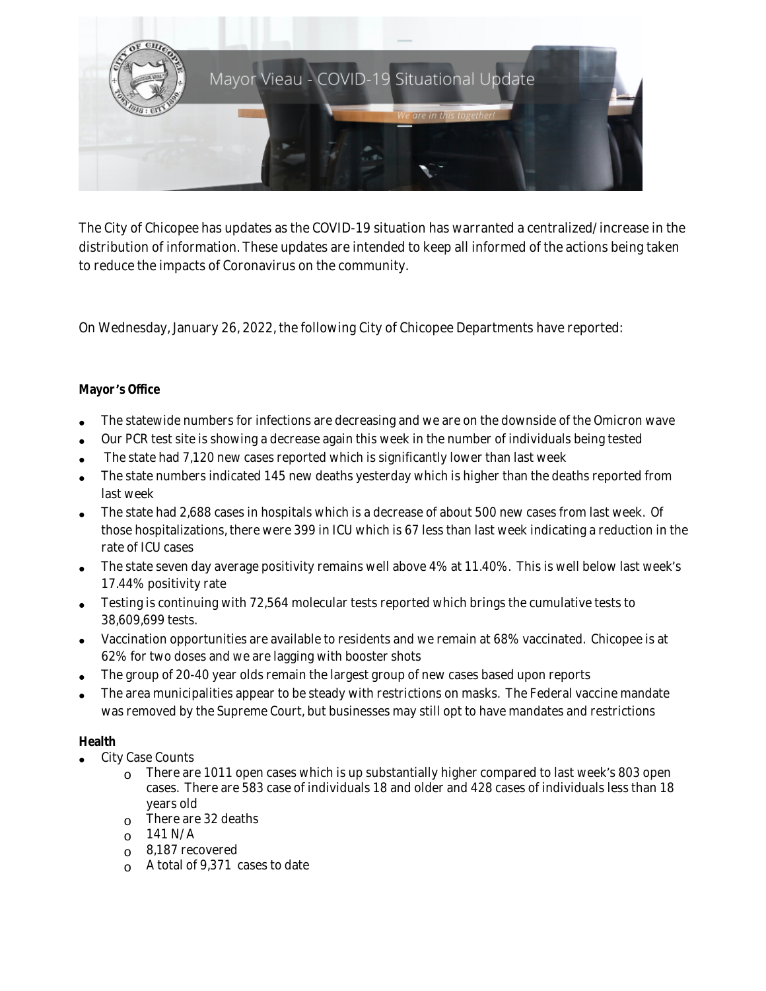

The City of Chicopee has updates as the COVID-19 situation has warranted a centralized/increase in the distribution of information. These updates are intended to keep all informed of the actions being taken to reduce the impacts of Coronavirus on the community.

On Wednesday, January 26, 2022, the following City of Chicopee Departments have reported:

## **Mayor** '**s Office**

- The statewide numbers for infections are decreasing and we are on the downside of the Omicron wave
- Our PCR test site is showing a decrease again this week in the number of individuals being tested
- The state had 7,120 new cases reported which is significantly lower than last week
- The state numbers indicated 145 new deaths yesterday which is higher than the deaths reported from last week
- The state had 2,688 cases in hospitals which is a decrease of about 500 new cases from last week. Of those hospitalizations, there were 399 in ICU which is 67 less than last week indicating a reduction in the rate of ICU cases
- The state seven day average positivity remains well above 4% at 11.40%. This is well below last week's 17.44% positivity rate
- Testing is continuing with 72,564 molecular tests reported which brings the cumulative tests to 38,609,699 tests.
- Vaccination opportunities are available to residents and we remain at 68% vaccinated. Chicopee is at 62% for two doses and we are lagging with booster shots
- The group of 20-40 year olds remain the largest group of new cases based upon reports
- The area municipalities appear to be steady with restrictions on masks. The Federal vaccine mandate was removed by the Supreme Court, but businesses may still opt to have mandates and restrictions

## **Health**

- City Case Counts
	- $\Omega$  There are 1011 open cases which is up substantially higher compared to last week's 803 open cases. There are 583 case of individuals 18 and older and 428 cases of individuals less than 18 years old
	- o There are 32 deaths
	- $O$  141 N/A
	- o 8,187 recovered
	- A total of 9,371 cases to date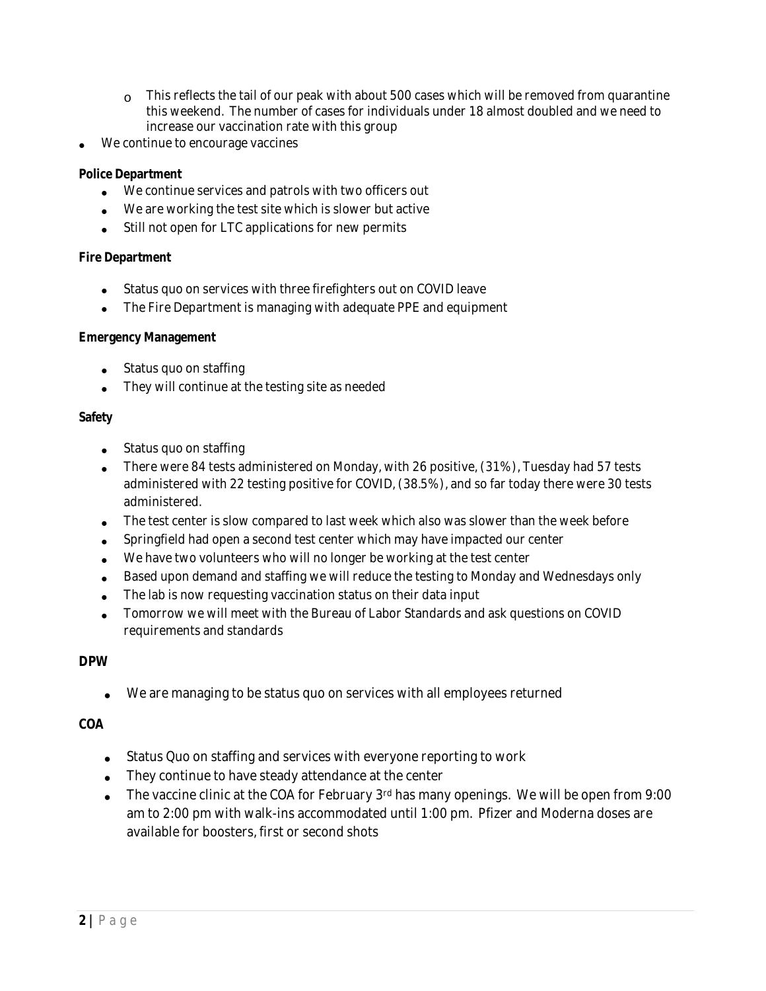- $\circ$  This reflects the tail of our peak with about 500 cases which will be removed from quarantine this weekend. The number of cases for individuals under 18 almost doubled and we need to increase our vaccination rate with this group
- We continue to encourage vaccines

### **Police Department**

- We continue services and patrols with two officers out
- We are working the test site which is slower but active
- Still not open for LTC applications for new permits

#### **Fire Department**

- Status quo on services with three firefighters out on COVID leave
- The Fire Department is managing with adequate PPE and equipment

#### **Emergency Management**

- Status quo on staffing
- They will continue at the testing site as needed

### **Safety**

- Status quo on staffing
- There were 84 tests administered on Monday, with 26 positive,  $(31\%)$ , Tuesday had 57 tests administered with 22 testing positive for COVID, (38.5%), and so far today there were 30 tests administered.
- The test center is slow compared to last week which also was slower than the week before
- Springfield had open a second test center which may have impacted our center
- We have two volunteers who will no longer be working at the test center
- Based upon demand and staffing we will reduce the testing to Monday and Wednesdays only
- The lab is now requesting vaccination status on their data input
- Tomorrow we will meet with the Bureau of Labor Standards and ask questions on COVID requirements and standards

## **DPW**

We are managing to be status quo on services with all employees returned

#### **COA**

- Status Quo on staffing and services with everyone reporting to work
- They continue to have steady attendance at the center
- $\bullet$  The vaccine clinic at the COA for February 3<sup>rd</sup> has many openings. We will be open from 9:00 am to 2:00 pm with walk-ins accommodated until 1:00 pm. Pfizer and Moderna doses are available for boosters, first or second shots